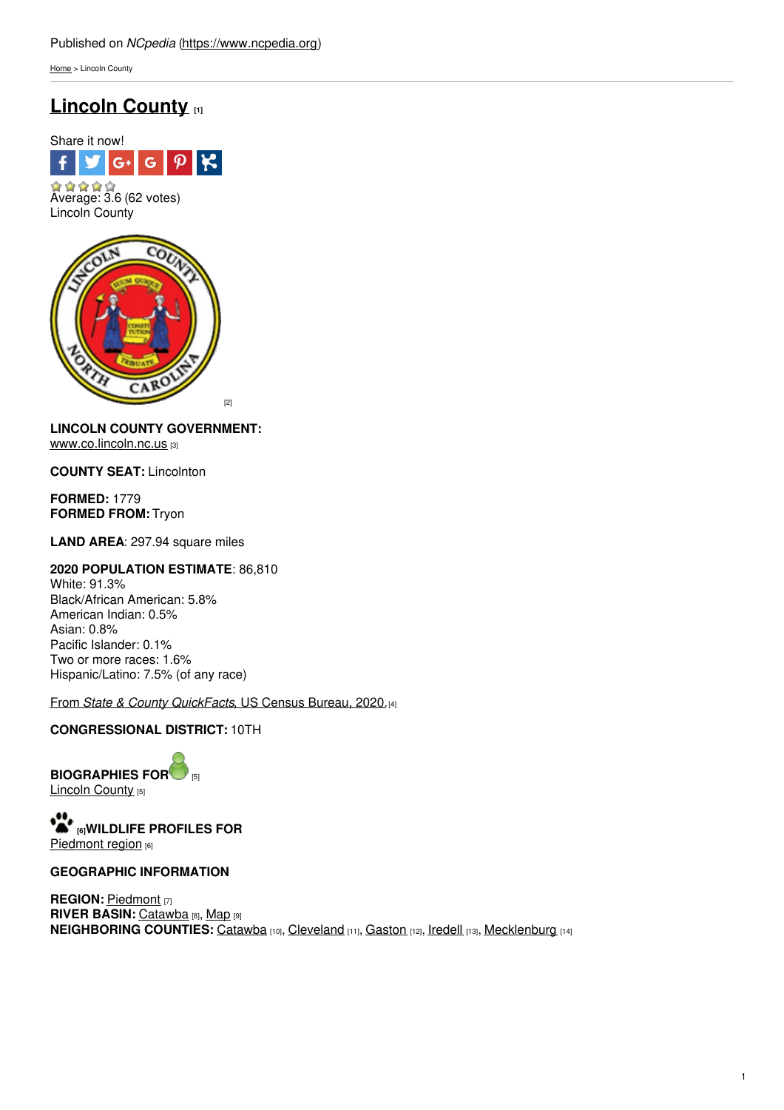[Home](https://www.ncpedia.org/) > Lincoln County

# **[Lincoln](https://www.ncpedia.org/geography/lincoln) County [1]**



[2]

## **LINCOLN COUNTY GOVERNMENT:**

[www.co.lincoln.nc.us](http://www.co.lincoln.nc.us/) [3]

**COUNTY SEAT:** Lincolnton

**FORMED:** 1779 **FORMED FROM:** Tryon

**LAND AREA**: 297.94 square miles

### **2020 POPULATION ESTIMATE**: 86,810

White: 91.3% Black/African American: 5.8% American Indian: 0.5% Asian: 0.8% Pacific Islander: 0.1% Two or more races: 1.6% Hispanic/Latino: 7.5% (of any race)

From *State & County [QuickFacts](https://www.census.gov/quickfacts/fact/table/lincolncountynorthcarolina/POP010220)*, US Census Bureau, 2020.[4]

### **CONGRESSIONAL DISTRICT:** 10TH

**BIOGRAPHIES FO[R](https://www.ncpedia.org/geography/lincoln-county/biography)** [5] [Lincoln](https://www.ncpedia.org/geography/lincoln-county/biography) County [5]

**[6]WILDLIFE PROFILES FOR** [Piedmont](https://www.ncpedia.org/wildlife/piedmont) region [6]

### **GEOGRAPHIC INFORMATION**

**REGION: [Piedmont](https://www.ncpedia.org/geography/region/piedmont) [7] RIVER BASIN: [Catawba](https://files.nc.gov/deqee/documents/files/catawba-river-basin.pdf) [8], [Map](https://ncdenr.maps.arcgis.com/apps/PublicInformation/index.html?appid=f82f583438e74bf29adcc76247381eee) [9] NEIGHBORING COUNTIES:** [Catawba](https://www.ncpedia.org/geography/catawba) [10], [Cleveland](https://www.ncpedia.org/geography/cleveland) [11], [Gaston](https://www.ncpedia.org/geography/gaston) [12], [Iredell](https://www.ncpedia.org/geography/iredell) [13], [Mecklenburg](https://www.ncpedia.org/geography/mecklenburg) [14]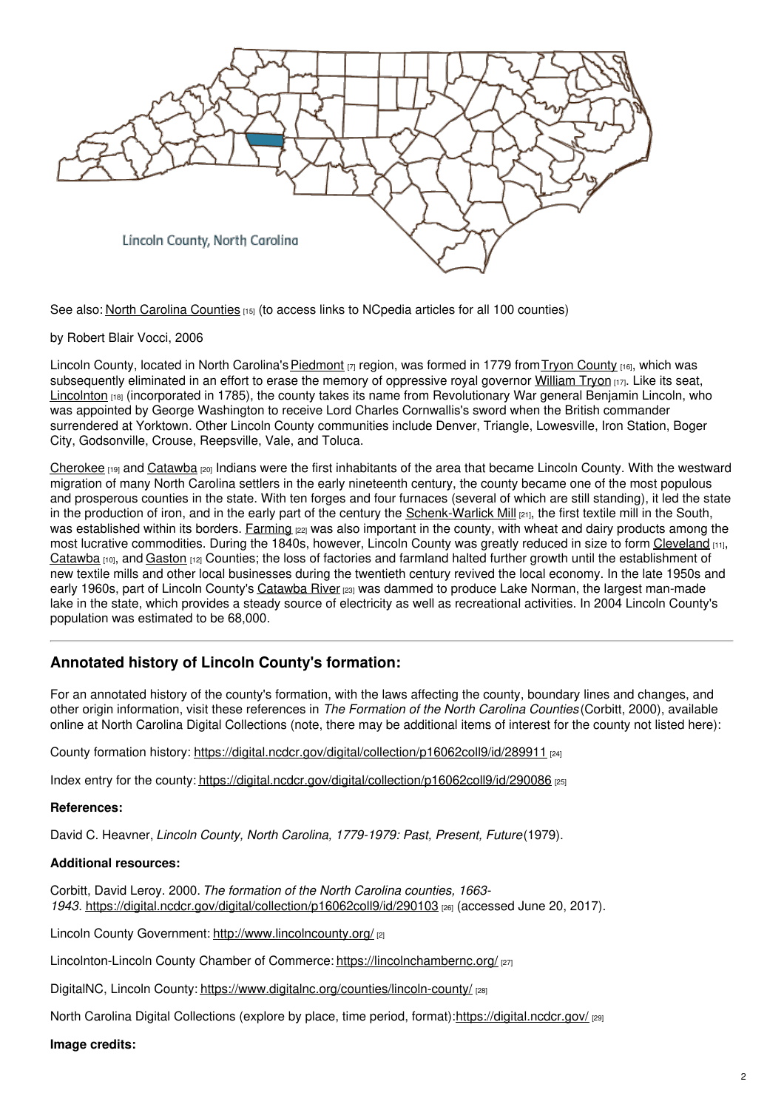

See also: North Carolina [Counties](https://www.ncpedia.org/geography/counties) [15] (to access links to NCpedia articles for all 100 counties)

by Robert Blair Vocci, 2006

Lincoln [County](https://www.ncpedia.org/tryon-county), located in North Carolina's **[Piedmont](https://www.ncpedia.org/geography/region/piedmont)** [7] region, was formed in 1779 from Tryon County [16], which was subsequently eliminated in an effort to erase the memory of oppressive royal governor [William](https://www.ncpedia.org/biography/governors/tryon) Tryon  $\mu\tau$ . Like its seat, [Lincolnton](http://www.ci.lincolnton.nc.us/) [18] (incorporated in 1785), the county takes its name from Revolutionary War general Benjamin Lincoln, who was appointed by George Washington to receive Lord Charles Cornwallis's sword when the British commander surrendered at Yorktown. Other Lincoln County communities include Denver, Triangle, Lowesville, Iron Station, Boger City, Godsonville, Crouse, Reepsville, Vale, and Toluca.

[Cherokee](https://www.ncpedia.org/cherokee/overview) [19] and [Catawba](https://www.ncpedia.org/catawba-indians) [20] Indians were the first inhabitants of the area that became Lincoln County. With the westward migration of many North Carolina settlers in the early nineteenth century, the county became one of the most populous and prosperous counties in the state. With ten forges and four furnaces (several of which are still standing), it led the state in the production of iron, and in the early part of the century the [Schenk-Warlick](https://www.ncpedia.org/schenck-warlick-mill) Mill  $_{[21]}$ , the first textile mill in the South, was established within its borders. [Farming](https://www.ncpedia.org/agriculture/overview) [22] was also important in the county, with wheat and dairy products among the most lucrative commodities. During the 1840s, however, Lincoln County was greatly reduced in size to form [Cleveland](https://www.ncpedia.org/geography/cleveland) [11], [Catawba](https://www.ncpedia.org/geography/catawba) [10], and [Gaston](https://www.ncpedia.org/geography/gaston) [12] Counties; the loss of factories and farmland halted further growth until the establishment of new textile mills and other local businesses during the twentieth century revived the local economy. In the late 1950s and early 1960s, part of Lincoln County's [Catawba](https://www.ncpedia.org/rivers/catawba) River [23] was dammed to produce Lake Norman, the largest man-made lake in the state, which provides a steady source of electricity as well as recreational activities. In 2004 Lincoln County's population was estimated to be 68,000.

## **Annotated history of Lincoln County's formation:**

For an annotated history of the county's formation, with the laws affecting the county, boundary lines and changes, and other origin information, visit these references in *The Formation of the North Carolina Counties* (Corbitt, 2000), available online at North Carolina Digital Collections (note, there may be additional items of interest for the county not listed here):

County formation history: <https://digital.ncdcr.gov/digital/collection/p16062coll9/id/289911> [24]

Index entry for the county: <https://digital.ncdcr.gov/digital/collection/p16062coll9/id/290086> [25]

### **References:**

David C. Heavner, *Lincoln County, North Carolina, 1779-1979: Past, Present, Future*(1979).

### **Additional resources:**

Corbitt, David Leroy. 2000. *The formation of the North Carolina counties, 1663- 1943*. <https://digital.ncdcr.gov/digital/collection/p16062coll9/id/290103> [26] (accessed June 20, 2017).

Lincoln County Government: <http://www.lincolncounty.org/> [2]

Lincolnton-Lincoln County Chamber of Commerce: <https://lincolnchambernc.org/> [27]

DigitalNC, Lincoln County: <https://www.digitalnc.org/counties/lincoln-county/> [28]

North Carolina Digital Collections (explore by place, time period, format):<https://digital.ncdcr.gov/> [29]

### **Image credits:**